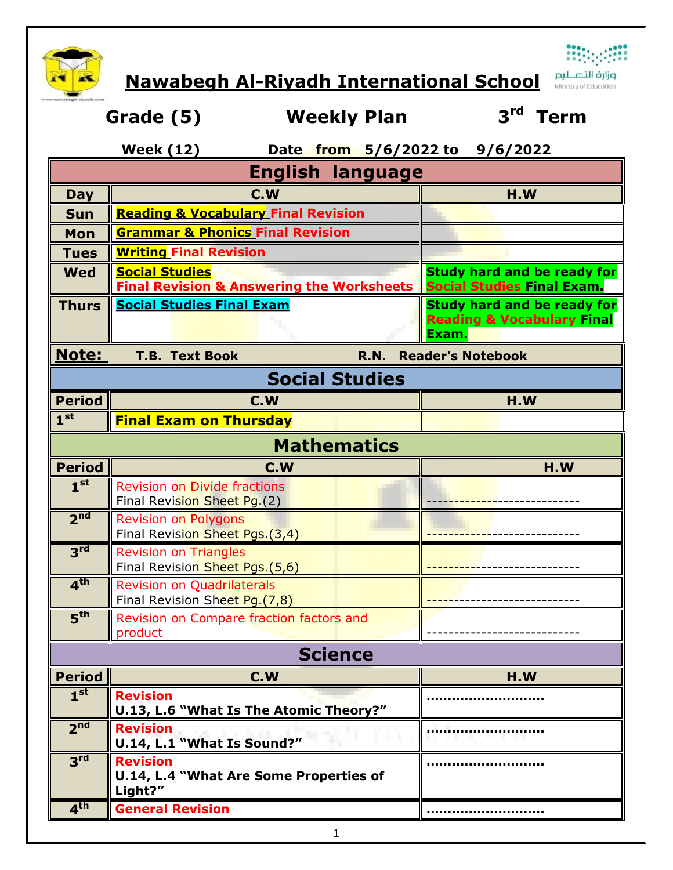

**Nawabegh Al-Riyadh International School**

**صزارت التصليص**<br>Ministry of Education

|                                                    | Grade (5)<br><b>Weekly Plan</b>                                    | 3 <sup>rd</sup><br>Term                                                              |  |  |  |  |
|----------------------------------------------------|--------------------------------------------------------------------|--------------------------------------------------------------------------------------|--|--|--|--|
| <b>Week (12)</b><br>Date from 5/6/2022 to 9/6/2022 |                                                                    |                                                                                      |  |  |  |  |
| <b>English language</b>                            |                                                                    |                                                                                      |  |  |  |  |
| Day                                                | C.W                                                                | H.W                                                                                  |  |  |  |  |
| <b>Sun</b>                                         | <b>Reading &amp; Vocabulary Final Revision</b>                     |                                                                                      |  |  |  |  |
| Mon                                                | <b>Grammar &amp; Phonics Final Revision</b>                        |                                                                                      |  |  |  |  |
| <b>Tues</b>                                        | <b>Writing Final Revision</b>                                      |                                                                                      |  |  |  |  |
| <b>Wed</b>                                         | <b>Social Studies</b>                                              | <b>Study hard and be ready for</b>                                                   |  |  |  |  |
|                                                    | <b>Final Revision &amp; Answering the Worksheets</b>               | <b>Social Studies Final Exam.</b>                                                    |  |  |  |  |
| <b>Thurs</b>                                       | <b>Social Studies Final Exam</b>                                   | <b>Study hard and be ready for</b><br><b>Reading &amp; Vocabulary Final</b><br>Exam. |  |  |  |  |
|                                                    |                                                                    |                                                                                      |  |  |  |  |
| <b>Note:</b>                                       | <b>Reader's Notebook</b><br><b>T.B. Text Book</b><br><b>R.N.</b>   |                                                                                      |  |  |  |  |
|                                                    | <b>Social Studies</b>                                              |                                                                                      |  |  |  |  |
| <b>Period</b>                                      | C.W                                                                | H.W                                                                                  |  |  |  |  |
| 1 <sup>st</sup>                                    | <b>Final Exam on Thursday</b>                                      |                                                                                      |  |  |  |  |
|                                                    | <b>Mathematics</b>                                                 |                                                                                      |  |  |  |  |
|                                                    |                                                                    | H.W                                                                                  |  |  |  |  |
|                                                    |                                                                    |                                                                                      |  |  |  |  |
| <b>Period</b>                                      | C.W                                                                |                                                                                      |  |  |  |  |
| 1 <sup>st</sup>                                    | <b>Revision on Divide fractions</b><br>Final Revision Sheet Pg.(2) |                                                                                      |  |  |  |  |
| 2 <sup>nd</sup>                                    | <b>Revision on Polygons</b>                                        |                                                                                      |  |  |  |  |
|                                                    | Final Revision Sheet Pgs.(3,4)                                     |                                                                                      |  |  |  |  |
| 3 <sup>rd</sup>                                    | <b>Revision on Triangles</b>                                       |                                                                                      |  |  |  |  |
|                                                    | Final Revision Sheet Pgs.(5,6)                                     |                                                                                      |  |  |  |  |
| 4 <sup>th</sup>                                    | <b>Revision on Ouadrilaterals</b>                                  |                                                                                      |  |  |  |  |
|                                                    | Final Revision Sheet Pg.(7,8)                                      |                                                                                      |  |  |  |  |
| 5 <sup>th</sup>                                    | Revision on Compare fraction factors and<br>product                |                                                                                      |  |  |  |  |
|                                                    | <b>Science</b>                                                     |                                                                                      |  |  |  |  |
| <b>Period</b>                                      | C.W                                                                | H.W                                                                                  |  |  |  |  |
| 1 <sup>st</sup>                                    | <b>Revision</b>                                                    |                                                                                      |  |  |  |  |
|                                                    | U.13, L.6 "What Is The Atomic Theory?"                             |                                                                                      |  |  |  |  |
| 2 <sup>nd</sup>                                    | <b>Revision</b>                                                    |                                                                                      |  |  |  |  |
|                                                    | U.14, L.1 "What Is Sound?"                                         |                                                                                      |  |  |  |  |
| 3 <sup>rd</sup>                                    | <b>Revision</b>                                                    |                                                                                      |  |  |  |  |
|                                                    | U.14, L.4 "What Are Some Properties of<br>Light?"                  |                                                                                      |  |  |  |  |